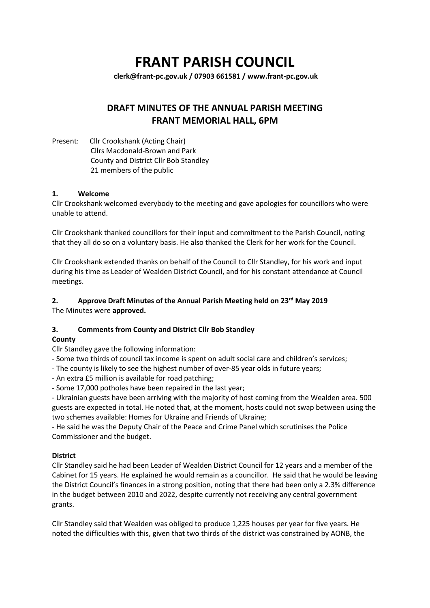# **FRANT PARISH COUNCIL**

**[clerk@frant-pc.gov.uk](mailto:clerk@frant-pc.gov.uk) / 07903 661581 [/ www.frant-pc.gov.uk](http://www.frant-pc.gov.uk/)**

## **DRAFT MINUTES OF THE ANNUAL PARISH MEETING FRANT MEMORIAL HALL, 6PM**

Present: Cllr Crookshank (Acting Chair) Cllrs Macdonald-Brown and Park County and District Cllr Bob Standley 21 members of the public

## **1. Welcome**

Cllr Crookshank welcomed everybody to the meeting and gave apologies for councillors who were unable to attend.

Cllr Crookshank thanked councillors for their input and commitment to the Parish Council, noting that they all do so on a voluntary basis. He also thanked the Clerk for her work for the Council.

Cllr Crookshank extended thanks on behalf of the Council to Cllr Standley, for his work and input during his time as Leader of Wealden District Council, and for his constant attendance at Council meetings.

## **2. Approve Draft Minutes of the Annual Parish Meeting held on 23rd May 2019**

The Minutes were **approved.**

## **3. Comments from County and District Cllr Bob Standley**

#### **County**

Cllr Standley gave the following information:

- Some two thirds of council tax income is spent on adult social care and children's services;
- The county is likely to see the highest number of over-85 year olds in future years;
- An extra £5 million is available for road patching;

- Some 17,000 potholes have been repaired in the last year;

- Ukrainian guests have been arriving with the majority of host coming from the Wealden area. 500 guests are expected in total. He noted that, at the moment, hosts could not swap between using the two schemes available: Homes for Ukraine and Friends of Ukraine;

- He said he was the Deputy Chair of the Peace and Crime Panel which scrutinises the Police Commissioner and the budget.

#### **District**

Cllr Standley said he had been Leader of Wealden District Council for 12 years and a member of the Cabinet for 15 years. He explained he would remain as a councillor. He said that he would be leaving the District Council's finances in a strong position, noting that there had been only a 2.3% difference in the budget between 2010 and 2022, despite currently not receiving any central government grants.

Cllr Standley said that Wealden was obliged to produce 1,225 houses per year for five years. He noted the difficulties with this, given that two thirds of the district was constrained by AONB, the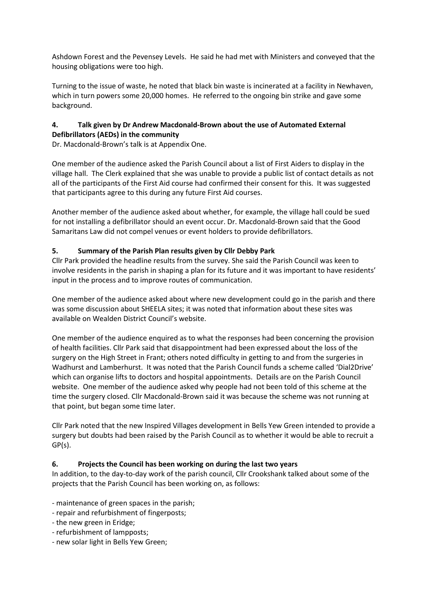Ashdown Forest and the Pevensey Levels. He said he had met with Ministers and conveyed that the housing obligations were too high.

Turning to the issue of waste, he noted that black bin waste is incinerated at a facility in Newhaven, which in turn powers some 20,000 homes. He referred to the ongoing bin strike and gave some background.

## **4. Talk given by Dr Andrew Macdonald-Brown about the use of Automated External Defibrillators (AEDs) in the community**

Dr. Macdonald-Brown's talk is at Appendix One.

One member of the audience asked the Parish Council about a list of First Aiders to display in the village hall. The Clerk explained that she was unable to provide a public list of contact details as not all of the participants of the First Aid course had confirmed their consent for this. It was suggested that participants agree to this during any future First Aid courses.

Another member of the audience asked about whether, for example, the village hall could be sued for not installing a defibrillator should an event occur. Dr. Macdonald-Brown said that the Good Samaritans Law did not compel venues or event holders to provide defibrillators.

## **5. Summary of the Parish Plan results given by Cllr Debby Park**

Cllr Park provided the headline results from the survey. She said the Parish Council was keen to involve residents in the parish in shaping a plan for its future and it was important to have residents' input in the process and to improve routes of communication.

One member of the audience asked about where new development could go in the parish and there was some discussion about SHEELA sites; it was noted that information about these sites was available on Wealden District Council's website.

One member of the audience enquired as to what the responses had been concerning the provision of health facilities. Cllr Park said that disappointment had been expressed about the loss of the surgery on the High Street in Frant; others noted difficulty in getting to and from the surgeries in Wadhurst and Lamberhurst. It was noted that the Parish Council funds a scheme called 'Dial2Drive' which can organise lifts to doctors and hospital appointments. Details are on the Parish Council website. One member of the audience asked why people had not been told of this scheme at the time the surgery closed. Cllr Macdonald-Brown said it was because the scheme was not running at that point, but began some time later.

Cllr Park noted that the new Inspired Villages development in Bells Yew Green intended to provide a surgery but doubts had been raised by the Parish Council as to whether it would be able to recruit a GP(s).

#### **6. Projects the Council has been working on during the last two years**

In addition, to the day-to-day work of the parish council, Cllr Crookshank talked about some of the projects that the Parish Council has been working on, as follows:

- maintenance of green spaces in the parish;
- repair and refurbishment of fingerposts;
- the new green in Eridge;
- refurbishment of lampposts;
- new solar light in Bells Yew Green;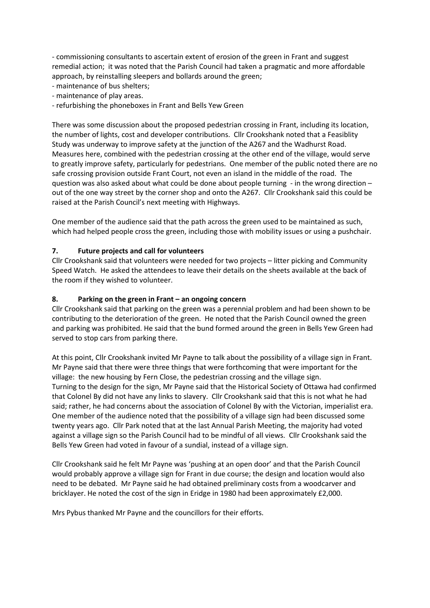- commissioning consultants to ascertain extent of erosion of the green in Frant and suggest remedial action; it was noted that the Parish Council had taken a pragmatic and more affordable approach, by reinstalling sleepers and bollards around the green;

- maintenance of bus shelters;
- maintenance of play areas.
- refurbishing the phoneboxes in Frant and Bells Yew Green

There was some discussion about the proposed pedestrian crossing in Frant, including its location, the number of lights, cost and developer contributions. Cllr Crookshank noted that a Feasiblity Study was underway to improve safety at the junction of the A267 and the Wadhurst Road. Measures here, combined with the pedestrian crossing at the other end of the village, would serve to greatly improve safety, particularly for pedestrians. One member of the public noted there are no safe crossing provision outside Frant Court, not even an island in the middle of the road. The question was also asked about what could be done about people turning - in the wrong direction – out of the one way street by the corner shop and onto the A267. Cllr Crookshank said this could be raised at the Parish Council's next meeting with Highways.

One member of the audience said that the path across the green used to be maintained as such, which had helped people cross the green, including those with mobility issues or using a pushchair.

#### **7. Future projects and call for volunteers**

Cllr Crookshank said that volunteers were needed for two projects – litter picking and Community Speed Watch. He asked the attendees to leave their details on the sheets available at the back of the room if they wished to volunteer.

#### **8. Parking on the green in Frant – an ongoing concern**

Cllr Crookshank said that parking on the green was a perennial problem and had been shown to be contributing to the deterioration of the green. He noted that the Parish Council owned the green and parking was prohibited. He said that the bund formed around the green in Bells Yew Green had served to stop cars from parking there.

At this point, Cllr Crookshank invited Mr Payne to talk about the possibility of a village sign in Frant. Mr Payne said that there were three things that were forthcoming that were important for the village: the new housing by Fern Close, the pedestrian crossing and the village sign. Turning to the design for the sign, Mr Payne said that the Historical Society of Ottawa had confirmed that Colonel By did not have any links to slavery. Cllr Crookshank said that this is not what he had said; rather, he had concerns about the association of Colonel By with the Victorian, imperialist era. One member of the audience noted that the possibility of a village sign had been discussed some twenty years ago. Cllr Park noted that at the last Annual Parish Meeting, the majority had voted against a village sign so the Parish Council had to be mindful of all views. Cllr Crookshank said the Bells Yew Green had voted in favour of a sundial, instead of a village sign.

Cllr Crookshank said he felt Mr Payne was 'pushing at an open door' and that the Parish Council would probably approve a village sign for Frant in due course; the design and location would also need to be debated. Mr Payne said he had obtained preliminary costs from a woodcarver and bricklayer. He noted the cost of the sign in Eridge in 1980 had been approximately £2,000.

Mrs Pybus thanked Mr Payne and the councillors for their efforts.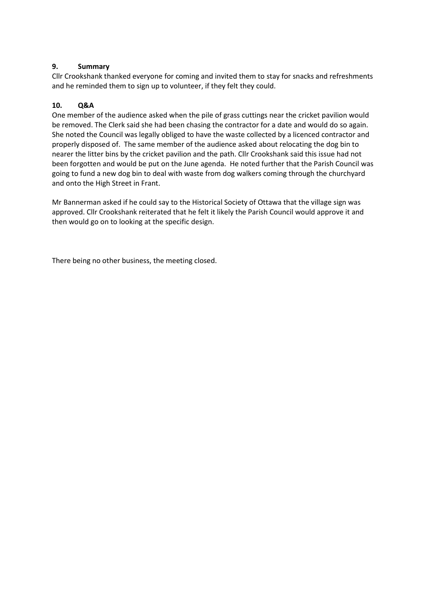#### **9. Summary**

Cllr Crookshank thanked everyone for coming and invited them to stay for snacks and refreshments and he reminded them to sign up to volunteer, if they felt they could.

#### **10. Q&A**

One member of the audience asked when the pile of grass cuttings near the cricket pavilion would be removed. The Clerk said she had been chasing the contractor for a date and would do so again. She noted the Council was legally obliged to have the waste collected by a licenced contractor and properly disposed of. The same member of the audience asked about relocating the dog bin to nearer the litter bins by the cricket pavilion and the path. Cllr Crookshank said this issue had not been forgotten and would be put on the June agenda. He noted further that the Parish Council was going to fund a new dog bin to deal with waste from dog walkers coming through the churchyard and onto the High Street in Frant.

Mr Bannerman asked if he could say to the Historical Society of Ottawa that the village sign was approved. Cllr Crookshank reiterated that he felt it likely the Parish Council would approve it and then would go on to looking at the specific design.

There being no other business, the meeting closed.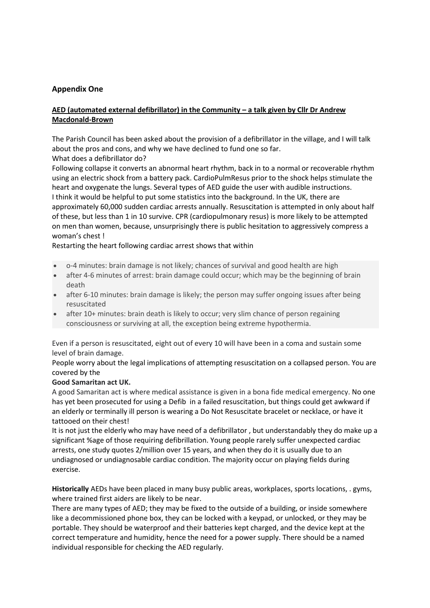## **Appendix One**

## **AED (automated external defibrillator) in the Community – a talk given by Cllr Dr Andrew Macdonald-Brown**

The Parish Council has been asked about the provision of a defibrillator in the village, and I will talk about the pros and cons, and why we have declined to fund one so far. What does a defibrillator do?

Following collapse it converts an abnormal heart rhythm, back in to a normal or recoverable rhythm using an electric shock from a battery pack. CardioPulmResus prior to the shock helps stimulate the heart and oxygenate the lungs. Several types of AED guide the user with audible instructions. I think it would be helpful to put some statistics into the background. In the UK, there are approximately 60,000 sudden cardiac arrests annually. Resuscitation is attempted in only about half of these, but less than 1 in 10 survive. CPR (cardiopulmonary resus) is more likely to be attempted on men than women, because, unsurprisingly there is public hesitation to aggressively compress a woman's chest !

Restarting the heart following cardiac arrest shows that within

- o-4 minutes: brain damage is not likely; chances of survival and good health are high
- after 4-6 minutes of arrest: brain damage could occur; which may be the beginning of brain death
- after 6-10 minutes: brain damage is likely; the person may suffer ongoing issues after being resuscitated
- after 10+ minutes: brain death is likely to occur; very slim chance of person regaining consciousness or surviving at all, the exception being extreme hypothermia.

Even if a person is resuscitated, eight out of every 10 will have been in a coma and sustain some level of brain damage.

People worry about the legal implications of attempting resuscitation on a collapsed person. You are covered by the

#### **Good Samaritan act UK.**

A good Samaritan act is where medical assistance is given in a bona fide medical emergency. No one has yet been prosecuted for using a Defib in a failed resuscitation, but things could get awkward if an elderly or terminally ill person is wearing a Do Not Resuscitate bracelet or necklace, or have it tattooed on their chest!

It is not just the elderly who may have need of a defibrillator , but understandably they do make up a significant %age of those requiring defibrillation. Young people rarely suffer unexpected cardiac arrests, one study quotes 2/million over 15 years, and when they do it is usually due to an undiagnosed or undiagnosable cardiac condition. The majority occur on playing fields during exercise.

**Historically** AEDs have been placed in many busy public areas, workplaces, sports locations, . gyms, where trained first aiders are likely to be near.

There are many types of AED; they may be fixed to the outside of a building, or inside somewhere like a decommissioned phone box, they can be locked with a keypad, or unlocked, or they may be portable. They should be waterproof and their batteries kept charged, and the device kept at the correct temperature and humidity, hence the need for a power supply. There should be a named individual responsible for checking the AED regularly.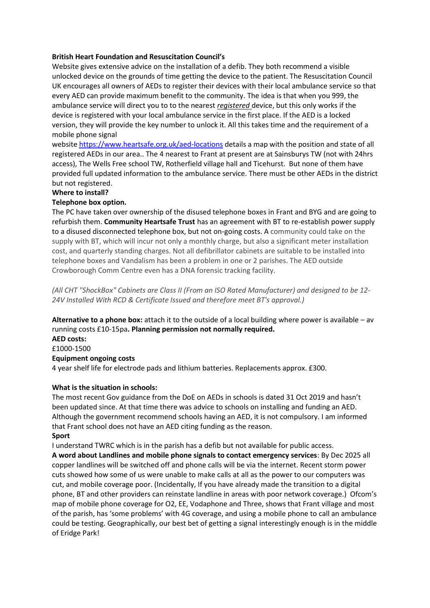#### **British Heart Foundation and Resuscitation Council's**

Website gives extensive advice on the installation of a defib. They both recommend a visible unlocked device on the grounds of time getting the device to the patient. The Resuscitation Council UK encourages all owners of AEDs to register their devices with their local ambulance service so that every AED can provide maximum benefit to the community. The idea is that when you 999, the ambulance service will direct you to to the nearest *registered* device, but this only works if the device is registered with your local ambulance service in the first place. If the AED is a locked version, they will provide the key number to unlock it. All this takes time and the requirement of a mobile phone signal

websit[e https://www.heartsafe.org.uk/aed-locations](https://www.heartsafe.org.uk/aed-locations) details a map with the position and state of all registered AEDs in our area.. The 4 nearest to Frant at present are at Sainsburys TW (not with 24hrs access), The Wells Free school TW, Rotherfield village hall and Ticehurst. But none of them have provided full updated information to the ambulance service. There must be other AEDs in the district but not registered.

#### **Where to install?**

#### **Telephone box option.**

The PC have taken over ownership of the disused telephone boxes in Frant and BYG and are going to refurbish them. **Community Heartsafe Trust** has an agreement with BT to re-establish power supply to a disused disconnected telephone box, but not on-going costs. A community could take on the supply with BT, which will incur not only a monthly charge, but also a significant meter installation cost, and quarterly standing charges. Not all defibrillator cabinets are suitable to be installed into telephone boxes and Vandalism has been a problem in one or 2 parishes. The AED outside Crowborough Comm Centre even has a DNA forensic tracking facility.

*(All CHT "ShockBox" Cabinets are Class II (From an ISO Rated Manufacturer) and designed to be 12- 24V Installed With RCD & Certificate Issued and therefore meet BT's approval.)*

**Alternative to a phone box:** attach it to the outside of a local building where power is available – av running costs £10-15pa**. Planning permission not normally required.**

**AED costs:** £1000-1500 **Equipment ongoing costs**

4 year shelf life for electrode pads and lithium batteries. Replacements approx. £300.

#### **What is the situation in schools:**

The most recent Gov guidance from the DoE on AEDs in schools is dated 31 Oct 2019 and hasn't been updated since. At that time there was advice to schools on installing and funding an AED. Although the government recommend schools having an AED, it is not compulsory. I am informed that Frant school does not have an AED citing funding as the reason. **Sport**

#### I understand TWRC which is in the parish has a defib but not available for public access.

**A word about Landlines and mobile phone signals to contact emergency services**: By Dec 2025 all copper landlines will be switched off and phone calls will be via the internet. Recent storm power cuts showed how some of us were unable to make calls at all as the power to our computers was cut, and mobile coverage poor. (Incidentally, If you have already made the transition to a digital phone, BT and other providers can reinstate landline in areas with poor network coverage.) Ofcom's map of mobile phone coverage for O2, EE, Vodaphone and Three, shows that Frant village and most of the parish, has 'some problems' with 4G coverage, and using a mobile phone to call an ambulance could be testing. Geographically, our best bet of getting a signal interestingly enough is in the middle of Eridge Park!